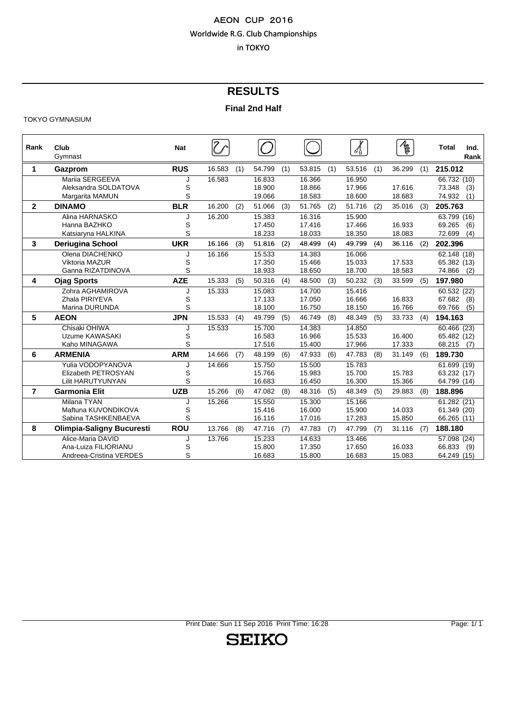# **RESULTS**

#### **Final 2nd Half**

#### TOKYO GYMNASIUM

| Rank           | Club<br>Gymnast                  | <b>Nat</b> |        |     |        |     |        |     |        |     | $\sqrt{\frac{2}{5}}$ |     | <b>Total</b><br>Ind.<br>Rank |
|----------------|----------------------------------|------------|--------|-----|--------|-----|--------|-----|--------|-----|----------------------|-----|------------------------------|
| 1              | Gazprom                          | <b>RUS</b> | 16.583 | (1) | 54.799 | (1) | 53.815 | (1) | 53.516 | (1) | 36.299               | (1) | 215.012                      |
|                | Mariia SERGEEVA                  | J          | 16.583 |     | 16.833 |     | 16.366 |     | 16.950 |     |                      |     | 66.732 (10)                  |
|                | Aleksandra SOLDATOVA             | S          |        |     | 18.900 |     | 18.866 |     | 17.966 |     | 17.616               |     | 73.348<br>(3)                |
|                | Margarita MAMUN                  | S          |        |     | 19.066 |     | 18.583 |     | 18.600 |     | 18.683               |     | 74.932<br>(1)                |
| $\mathbf{2}$   | <b>DINAMO</b>                    | <b>BLR</b> | 16.200 | (2) | 51.066 | (3) | 51.765 | (2) | 51.716 | (2) | 35.016               | (3) | 205.763                      |
|                | Alina HARNASKO                   |            | 16.200 |     | 15.383 |     | 16.316 |     | 15.900 |     |                      |     | 63.799 (16)                  |
|                | Hanna BAZHKO                     | S          |        |     | 17.450 |     | 17.416 |     | 17.466 |     | 16.933               |     | 69.265<br>(6)                |
|                | Katsiaryna HALKINA               | S          |        |     | 18.233 |     | 18.033 |     | 18.350 |     | 18.083               |     | 72.699<br>(4)                |
| 3              | <b>Deriugina School</b>          | <b>UKR</b> | 16.166 | (3) | 51.816 | (2) | 48.499 | (4) | 49.799 | (4) | 36.116               | (2) | 202.396                      |
|                | Olena DIACHENKO                  | J          | 16.166 |     | 15.533 |     | 14.383 |     | 16.066 |     |                      |     | 62.148 (18)                  |
|                | <b>Viktoria MAZUR</b>            | S          |        |     | 17.350 |     | 15.466 |     | 15.033 |     | 17.533               |     | 65.382 (13)                  |
|                | Ganna RIZATDINOVA                | S          |        |     | 18.933 |     | 18.650 |     | 18.700 |     | 18.583               |     | 74.866<br>(2)                |
| 4              | <b>Ojag Sports</b>               | <b>AZE</b> | 15.333 | (5) | 50.316 | (4) | 48.500 | (3) | 50.232 | (3) | 33.599               | (5) | 197.980                      |
|                | Zohra AGHAMIROVA                 | J          | 15.333 |     | 15.083 |     | 14.700 |     | 15.416 |     |                      |     | 60.532 (22)                  |
|                | Zhala PIRIYEVA                   | S          |        |     | 17.133 |     | 17.050 |     | 16.666 |     | 16.833               |     | 67.682<br>(8)                |
|                | Marina DURUNDA                   | S          |        |     | 18.100 |     | 16.750 |     | 18.150 |     | 16.766               |     | 69.766<br>(5)                |
| 5              | <b>AEON</b>                      | <b>JPN</b> | 15.533 | (4) | 49.799 | (5) | 46.749 | (8) | 48.349 | (5) | 33.733               | (4) | 194.163                      |
|                | Chisaki OHIWA                    |            | 15.533 |     | 15.700 |     | 14.383 |     | 14.850 |     |                      |     | $\overline{60.466}$ (23)     |
|                | Uzume KAWASAKI                   | S          |        |     | 16.583 |     | 16.966 |     | 15.533 |     | 16.400               |     | 65.482 (12)                  |
|                | Kaho MINAGAWA                    | S          |        |     | 17.516 |     | 15.400 |     | 17.966 |     | 17.333               |     | 68.215<br>(7)                |
| 6              | <b>ARMENIA</b>                   | <b>ARM</b> | 14.666 | (7) | 48.199 | (6) | 47.933 | (6) | 47.783 | (8) | 31.149               | (6) | 189.730                      |
|                | Yulia VODOPYANOVA                |            | 14.666 |     | 15.750 |     | 15.500 |     | 15.783 |     |                      |     | $\overline{61.699}$ (19)     |
|                | Elizabeth PETROSYAN              | S          |        |     | 15.766 |     | 15.983 |     | 15.700 |     | 15.783               |     | 63.232 (17)                  |
|                | <b>Lilit HARUTYUNYAN</b>         | S          |        |     | 16.683 |     | 16.450 |     | 16.300 |     | 15.366               |     | 64.799 (14)                  |
| $\overline{7}$ | <b>Garmonia Elit</b>             | <b>UZB</b> | 15.266 | (6) | 47.082 | (8) | 48.316 | (5) | 48.349 | (5) | 29.883               | (8) | 188.896                      |
|                | Milana TYAN                      |            | 15.266 |     | 15.550 |     | 15.300 |     | 15.166 |     |                      |     | 61.282 (21)                  |
|                | Maftuna KUVONDIKOVA              | S          |        |     | 15.416 |     | 16.000 |     | 15.900 |     | 14.033               |     | 61.349 (20)                  |
|                | Sabina TASHKENBAEVA              | S          |        |     | 16.116 |     | 17.016 |     | 17.283 |     | 15.850               |     | 66.265 (11)                  |
| 8              | <b>Olimpia-Saligny Bucuresti</b> | <b>ROU</b> | 13.766 | (8) | 47.716 | (7) | 47.783 | (7) | 47.799 | (7) | 31.116               | (7) | 188.180                      |
|                | Alice-Maria DAVID                | J          | 13.766 |     | 15.233 |     | 14.633 |     | 13.466 |     |                      |     | 57.098 (24)                  |
|                | Ana-Luiza FILIORIANU             | S          |        |     | 15.800 |     | 17.350 |     | 17.650 |     | 16.033               |     | 66.833<br>(9)                |
|                | Andreea-Cristina VERDES          | S          |        |     | 16.683 |     | 15.800 |     | 16.683 |     | 15.083               |     | 64.249 (15)                  |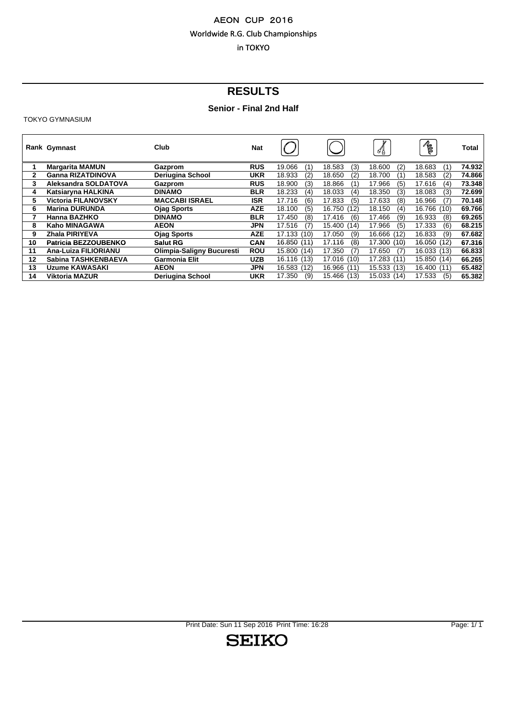# **RESULTS**

# **Senior - Final 2nd Half**

TOKYO GYMNASIUM

|              | Rank Gymnast                | Club                             | <b>Nat</b> |               |                | $\mathcal{A}$  | R             | Total  |
|--------------|-----------------------------|----------------------------------|------------|---------------|----------------|----------------|---------------|--------|
|              | <b>Margarita MAMUN</b>      | Gazprom                          | <b>RUS</b> | 19.066<br>(1) | (3)<br>18.583  | 18.600<br>(2)  | 18.683<br>(1) | 74.932 |
| $\mathbf{2}$ | <b>Ganna RIZATDINOVA</b>    | <b>Deriugina School</b>          | <b>UKR</b> | 18.933<br>(2) | 18.650<br>(2)  | 18.700<br>(1)  | 18.583<br>(2) | 74.866 |
| 3            | Aleksandra SOLDATOVA        | Gazprom                          | <b>RUS</b> | 18.900<br>(3) | 18.866<br>(1)  | 17.966<br>(5)  | 17.616<br>(4) | 73.348 |
| 4            | Katsiarvna HALKINA          | <b>DINAMO</b>                    | <b>BLR</b> | 18.233<br>(4) | 18.033<br>(4)  | 18.350<br>(3)  | 18.083<br>(3) | 72.699 |
| 5.           | <b>Victoria FILANOVSKY</b>  | <b>MACCABI ISRAEL</b>            | <b>ISR</b> | 17.716<br>(6) | 17.833<br>(5)  | 17.633<br>(8)  | 16.966<br>(7) | 70.148 |
| 6            | <b>Marina DURUNDA</b>       | <b>Ojag Sports</b>               | <b>AZE</b> | 18.100<br>(5) | 16.750<br>(12) | 18.150<br>(4)  | 16.766 (10)   | 69.766 |
|              | Hanna BAZHKO                | <b>DINAMO</b>                    | <b>BLR</b> | 17.450<br>(8) | 17.416<br>(6)  | 17.466<br>(9)  | 16.933<br>(8) | 69.265 |
| 8            | Kaho MINAGAWA               | <b>AEON</b>                      | JPN        | 17.516<br>(7) | 15.400<br>(14) | 17.966<br>(5)  | 17.333<br>(6) | 68.215 |
| 9            | Zhala PIRIYEVA              | <b>Ojag Sports</b>               | AZE        | 17.133 (10)   | 17.050<br>(9)  | 16.666<br>(12) | 16.833<br>(9) | 67.682 |
| 10           | <b>Patricia BEZZOUBENKO</b> | Salut RG                         | <b>CAN</b> | 16.850 (11)   | 17.116<br>(8)  | 17.300 (10)    | 16.050 (12)   | 67.316 |
| 11           | Ana-Luiza FILIORIANU        | <b>Olimpia-Saligny Bucuresti</b> | <b>ROU</b> | 15.800 (14)   | 17.350<br>(7)  | 17.650<br>(7)  | 16.033 (13)   | 66.833 |
| 12           | Sabina TASHKENBAEVA         | <b>Garmonia Elit</b>             | <b>UZB</b> | 16.116 (13)   | 17.016 (10)    | 17.283 (11)    | 15.850 (14)   | 66.265 |
| 13           | <b>Uzume KAWASAKI</b>       | <b>AEON</b>                      | JPN        | 16.583 (12)   | 16.966<br>(11) | 15.533 (13)    | 16.400 (11)   | 65.482 |
| 14           | <b>Viktoria MAZUR</b>       | Deriugina School                 | <b>UKR</b> | 17.350<br>(9) | 15.466<br>(13) | 15.033 (14)    | 17.533<br>(5) | 65.382 |

Print Date: Sun 11 Sep 2016 Print Time: 16:28 Page: 1/ 1

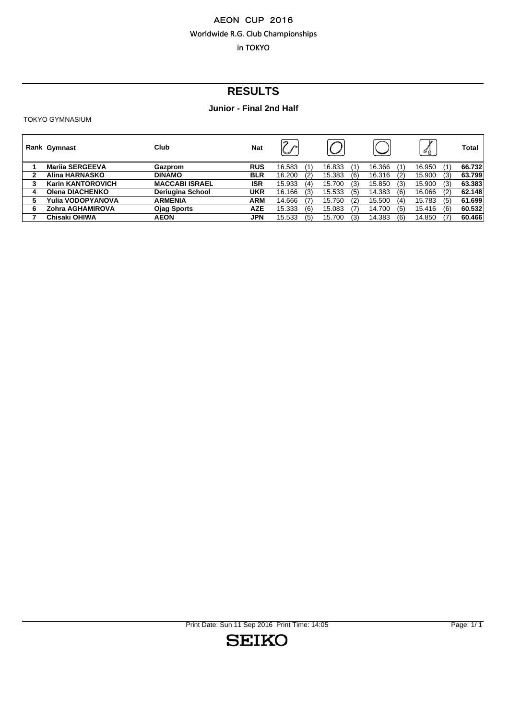# **RESULTS**

# **Junior - Final 2nd Half**

TOKYO GYMNASIUM

|   | Rank Gymnast             | Club                    | <b>Nat</b> | $\sim$<br>$\check{~}$ |     |        |     |        |     | v<br>√∦ |     | <b>Total</b> |
|---|--------------------------|-------------------------|------------|-----------------------|-----|--------|-----|--------|-----|---------|-----|--------------|
|   | <b>Marija SERGEEVA</b>   | Gazprom                 | <b>RUS</b> | 16.583                | (1) | 16.833 | (1) | 16.366 | (1) | 16.950  | (1) | 66.732       |
| 2 | Alina HARNASKO           | <b>DINAMO</b>           | <b>BLR</b> | 16.200                | (2) | 15.383 | (6) | 16.316 | (2) | 15.900  | (3) | 63.799       |
| 3 | <b>Karin KANTOROVICH</b> | <b>MACCABI ISRAEL</b>   | <b>ISR</b> | 15.933                | (4) | 15.700 | (3) | 15.850 | (3) | 15.900  | (3) | 63.383       |
|   | Olena DIACHENKO          | <b>Deriugina School</b> | <b>UKR</b> | 16.166                | (3) | 15.533 | (5) | 14.383 | (6) | 16.066  | (2) | 62.148       |
| 5 | Yulia VODOPYANOVA        | <b>ARMENIA</b>          | <b>ARM</b> | 14.666                | (7) | 15.750 | (2) | 15.500 | (4) | 15.783  | (5) | 61.699       |
| 6 | Zohra AGHAMIROVA         | <b>Ojag Sports</b>      | <b>AZE</b> | 15.333                | (6) | 15.083 | (7) | 14.700 | (5) | 15.416  | (6) | 60.532       |
|   | Chisaki OHIWA            | <b>AEON</b>             | <b>JPN</b> | 15.533                | (5) | 15.700 | (3) | 14.383 | (6) | 14.850  |     | 60.466       |
|   |                          |                         |            |                       |     |        |     |        |     |         |     |              |

Print Date: Sun 11 Sep 2016 Print Time: 14:05 Page: 1/1

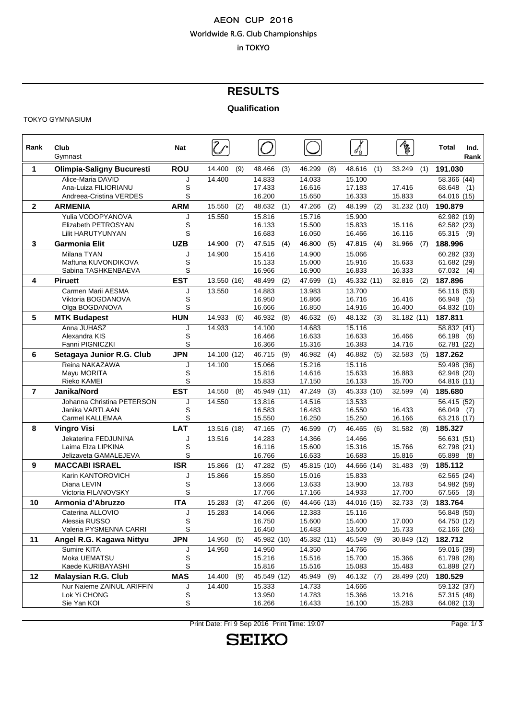# **RESULTS**

#### **Qualification**

#### TOKYO GYMNASIUM

| Rank         | Club<br>Gymnast                                 | <b>Nat</b> |               |                         |                       |                       | $\bar{\mathbb{Z}}$      | Total<br>Ind.<br>Rank        |
|--------------|-------------------------------------------------|------------|---------------|-------------------------|-----------------------|-----------------------|-------------------------|------------------------------|
| 1            | <b>Olimpia-Saligny Bucuresti</b>                | <b>ROU</b> | 14.400<br>(9) | (3)<br>48.466           | 46.299<br>(8)         | 48.616<br>(1)         | 33.249<br>(1)           | 191.030                      |
|              | Alice-Maria DAVID                               |            | 14.400        | 14.833                  | 14.033                | 15.100                |                         | 58.366 (44)                  |
|              | Ana-Luiza FILIORIANU<br>Andreea-Cristina VERDES | S<br>S     |               | 17.433<br>16.200        | 16.616<br>15.650      | 17.183<br>16.333      | 17.416<br>15.833        | 68.648<br>(1)<br>64.016 (15) |
| $\mathbf{2}$ | <b>ARMENIA</b>                                  | <b>ARM</b> | 15.550        | 48.632                  | 47.266                | 48.199                | 31.232 (10)             | 190.879                      |
|              | Yulia VODOPYANOVA                               | J          | (2)<br>15.550 | (1)<br>15.816           | (2)<br>15.716         | (2)<br>15.900         |                         | 62.982 (19)                  |
|              | Elizabeth PETROSYAN                             | S          |               | 16.133                  | 15.500                | 15.833                | 15.116                  | 62.582 (23)                  |
|              | Lilit HARUTYUNYAN                               | S          |               | 16.683                  | 16.050                | 16.466                | 16.116                  | 65.315 (9)                   |
| 3            | <b>Garmonia Elit</b>                            | <b>UZB</b> | 14.900<br>(7) | 47.515<br>(4)           | 46.800<br>(5)         | 47.815<br>(4)         | 31.966<br>(7)           | 188.996                      |
|              | Milana TYAN                                     | J          | 14.900        | 15.416                  | 14.900                | 15.066                |                         | 60.282(33)                   |
|              | Maftuna KUVONDIKOVA                             | S          |               | 15.133                  | 15.000                | 15.916                | 15.633                  | 61.682 (29)                  |
|              | Sabina TASHKENBAEVA                             | S          |               | 16.966                  | 16.900                | 16.833                | 16.333                  | 67.032(4)                    |
| 4            | <b>Piruett</b>                                  | <b>EST</b> | 13.550 (16)   | 48.499<br>(2)           | 47.699<br>(1)         | 45.332 (11)           | 32.816<br>(2)           | 187.896                      |
|              | Carmen Marii AESMA                              | J          | 13.550        | 14.883                  | 13.983                | 13.700                |                         | 56.116 (53)                  |
|              | Viktoria BOGDANOVA<br>Olga BOGDANOVA            | S<br>S     |               | 16.950<br>16.666        | 16.866<br>16.850      | 16.716<br>14.916      | 16.416<br>16.400        | 66.948<br>(5)<br>64.832 (10) |
| 5            | <b>MTK Budapest</b>                             | <b>HUN</b> | 14.933<br>(6) | 46.932<br>(8)           | 46.632<br>(6)         | 48.132<br>(3)         | 31.182 (11)             | 187.811                      |
|              | Anna JUHASZ                                     | J          | 14.933        | 14.100                  | 14.683                | 15.116                |                         | 58.832 (41)                  |
|              | Alexandra KIS                                   | S          |               | 16.466                  | 16.633                | 16.633                | 16.466                  | 66.198 (6)                   |
|              | Fanni PIGNICZKI                                 | S          |               | 16.366                  | 15.316                | 16.383                | 14.716                  | 62.781 (22)                  |
| 6            | Setagaya Junior R.G. Club                       | <b>JPN</b> | 14.100 (12)   | 46.715<br>(9)           | 46.982<br>(4)         | 46.882<br>(5)         | 32.583<br>(5)           | 187.262                      |
|              | Reina NAKAZAWA                                  | J          | 14.100        | 15.066                  | 15.216                | 15.116                |                         | 59.498 (36)                  |
|              | Mayu MORITA                                     | S          |               | 15.816                  | 14.616                | 15.633                | 16.883                  | 62.948 (20)                  |
|              | Rieko KAMEI                                     | S          |               | 15.833                  | 17.150                | 16.133                | 15.700                  | 64.816 (11)                  |
| 7            | Janika/Nord                                     | <b>EST</b> | 14.550<br>(8) | 45.949 (11)             | 47.249<br>(3)         | 45.333 (10)           | 32.599<br>(4)           | 185.680                      |
|              | Johanna Christina PETERSON<br>Janika VARTLAAN   | J<br>S     | 14.550        | 13.816<br>16.583        | 14.516<br>16.483      | 13.533<br>16.550      | 16.433                  | 56.415 (52)                  |
|              | Carmel KALLEMAA                                 | S          |               | 15.550                  | 16.250                | 15.250                | 16.166                  | 66.049 (7)<br>63.216 (17)    |
| 8            | <b>Vingro Visi</b>                              | LAT        | 13.516 (18)   | 47.165<br>(7)           | 46.599<br>(7)         | 46.465<br>(6)         | 31.582<br>(8)           | 185.327                      |
|              | Jekaterina FEDJUNINA                            | J          | 13.516        | 14.283                  | 14.366                | 14.466                |                         | 56.631 (51)                  |
|              | Laima Elza LIPKINA                              | S          |               | 16.116                  | 15.600                | 15.316                | 15.766                  | 62.798 (21)                  |
|              | Jelizaveta GAMALEJEVA                           | S          |               | 16.766                  | 16.633                | 16.683                | 15.816                  | 65.898 (8)                   |
| 9            | <b>MACCABI ISRAEL</b>                           | <b>ISR</b> | 15.866<br>(1) | 47.282<br>(5)           | 45.815 (10)           | 44.666 (14)           | 31.483<br>(9)           | 185.112                      |
|              | Karin KANTOROVICH                               | J          | 15.866        | 15.850                  | 15.016                | 15.833                |                         | 62.565 (24)                  |
|              | Diana LEVIN                                     | S<br>S     |               | 13.666                  | 13.633                | 13.900                | 13.783                  | 54.982 (59)                  |
| 10           | Victoria FILANOVSKY<br>Armonia d'Abruzzo        | <b>ITA</b> | 15.283<br>(3) | 17.766<br>47.266<br>(6) | 17.166<br>44.466 (13) | 14.933<br>44.016 (15) | 17.700<br>32.733<br>(3) | 67.565<br>(3)<br>183.764     |
|              | Caterina ALLOVIO                                | J          | 15.283        | 14.066                  | 12.383                | 15.116                |                         | 56.848 (50)                  |
|              | Alessia RUSSO                                   | S          |               | 16.750                  | 15.600                | 15.400                | 17.000                  | 64.750 (12)                  |
|              | Valeria PYSMENNA CARRI                          | S          |               | 16.450                  | 16.483                | 13.500                | 15.733                  | 62.166 (26)                  |
| 11           | Angel R.G. Kagawa Nittyu                        | <b>JPN</b> | 14.950<br>(5) | 45.982 (10)             | 45.382 (11)           | 45.549<br>(9)         | 30.849 (12)             | 182.712                      |
|              | Sumire KITA                                     | J          | 14.950        | 14.950                  | 14.350                | 14.766                |                         | 59.016 (39)                  |
|              | Moka UEMATSU                                    | S          |               | 15.216                  | 15.516                | 15.700                | 15.366                  | 61.798 (28)                  |
|              | Kaede KURIBAYASHI                               | S          |               | 15.816                  | 15.516                | 15.083                | 15.483                  | 61.898 (27)                  |
| 12           | <b>Malaysian R.G. Club</b>                      | <b>MAS</b> | 14.400<br>(9) | 45.549 (12)             | 45.949<br>(9)         | 46.132<br>(7)         | 28.499 (20)             | 180.529                      |
|              | Nur Naieme ZAINUL ARIFFIN                       | J          | 14.400        | 15.333                  | 14.733                | 14.666                |                         | 59.132 (37)                  |
|              | Lok Yi CHONG                                    | S<br>S     |               | 13.950                  | 14.783                | 15.366                | 13.216                  | 57.315 (48)                  |
|              | Sie Yan KOI                                     |            |               | 16.266                  | 16.433                | 16.100                | 15.283                  | 64.082 (13)                  |

Print Date: Fri 9 Sep 2016 Print Time: 19:07 Print Page: 1/3

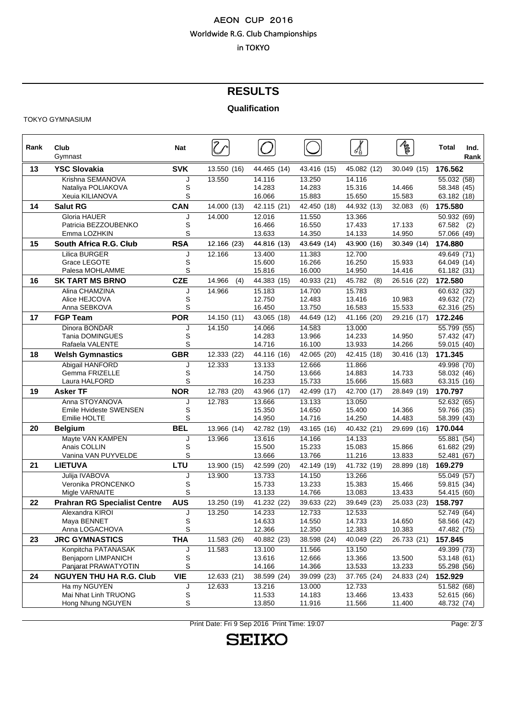# **RESULTS**

#### **Qualification**

#### TOKYO GYMNASIUM

| Rank | Club<br>Gymnast                                                    | <b>Nat</b>  |               |                            |                            | ∛₿                         | $\bar{\ell}$     | Total<br>Ind.<br>Rank                                  |
|------|--------------------------------------------------------------------|-------------|---------------|----------------------------|----------------------------|----------------------------|------------------|--------------------------------------------------------|
| 13   | <b>YSC Slovakia</b>                                                | <b>SVK</b>  | 13.550 (16)   | 44.465 (14)                | 43.416 (15)                |                            | 30.049 (15)      | 176.562                                                |
|      | Krishna SEMANOVA<br>Nataliya POLIAKOVA<br>Xeuia KILIANOVA          | J<br>S<br>S | 13.550        | 14.116<br>14.283<br>16.066 | 13.250<br>14.283<br>15.883 | 14.116<br>15.316<br>15.650 | 14.466<br>15.583 | 55.032 (58)<br>58.348 (45)<br>63.182 (18)              |
| 14   | <b>Salut RG</b>                                                    | CAN         | 14.000 (13)   | 42.115 (21)                | 42.450 (18)                | 44.932 (13)                | 32.083<br>(6)    | 175.580                                                |
|      | Gloria HAUER<br>Patricia BEZZOUBENKO<br>Emma LOZHKIN               | J<br>S<br>S | 14.000        | 12.016<br>16.466<br>13.633 | 11.550<br>16.550<br>14.350 | 13.366<br>17.433<br>14.133 | 17.133<br>14.950 | 50.932 (69)<br>67.582 (2)<br>57.066 (49)               |
| 15   | South Africa R.G. Club                                             | <b>RSA</b>  | 12.166 (23)   | 44.816 (13)                | 43.649 (14)                | 43.900 (16)                | 30.349 (14)      | 174.880                                                |
|      | <b>Lilica BURGER</b><br>Grace LEGOTE<br>Palesa MOHLAMME            | J<br>S<br>S | 12.166        | 13.400<br>15.600<br>15.816 | 11.383<br>16.266<br>16.000 | 12.700<br>16.250<br>14.950 | 15.933<br>14.416 | 49.649 (71)<br>64.049 (14)<br>61.182 (31)              |
| 16   | <b>SK TART MS BRNO</b>                                             | <b>CZE</b>  | 14.966<br>(4) | 44.383 (15)                | 40.933 (21)                | 45.782<br>(8)              | 26.516 (22)      | 172.580                                                |
|      | Alina CHAMZINA<br>Alice HEJCOVA<br>Anna SEBKOVA                    | J<br>S<br>S | 14.966        | 15.183<br>12.750<br>16.450 | 14.700<br>12.483<br>13.750 | 15.783<br>13.416<br>16.583 | 10.983<br>15.533 | 60.632 (32)<br>49.632 (72)<br>62.316 (25)              |
| 17   | <b>FGP Team</b>                                                    | <b>POR</b>  | 14.150 (11)   | 43.065 (18)                | 44.649 (12)                | 41.166 (20)                | 29.216 (17)      | 172.246                                                |
|      | Dinora BONDAR<br>Tania DOMINGUES<br>Rafaela VALENTE                | J<br>S<br>S | 14.150        | 14.066<br>14.283<br>14.716 | 14.583<br>13.966<br>16.100 | 13.000<br>14.233<br>13.933 | 14.950<br>14.266 | $\overline{55.799}$ (55)<br>57.432 (47)<br>59.015 (40) |
| 18   | <b>Welsh Gymnastics</b>                                            | <b>GBR</b>  | 12.333 (22)   | 44.116 (16)                | 42.065 (20)                | 42.415 (18)                | 30.416 (13)      | 171.345                                                |
|      | Abigail HANFORD<br>Gemma FRIZELLE<br>Laura HALFORD                 | J<br>S<br>S | 12.333        | 13.133<br>14.750<br>16.233 | 12.666<br>13.666<br>15.733 | 11.866<br>14.883<br>15.666 | 14.733<br>15.683 | 49.998 (70)<br>58.032 (46)<br>63.315 (16)              |
| 19   | Asker TF                                                           | <b>NOR</b>  | 12.783 (20)   | 43.966 (17)                | 42.499 (17)                | 42.700 (17)                | 28.849 (19)      | 170.797                                                |
|      | Anna STOYANOVA<br><b>Emile Hvideste SWENSEN</b><br>Emilie HOLTE    | J<br>S<br>S | 12.783        | 13.666<br>15.350<br>14.950 | 13.133<br>14.650<br>14.716 | 13.050<br>15.400<br>14.250 | 14.366<br>14.483 | 52.632 (65)<br>59.766 (35)<br>58.399 (43)              |
| 20   | <b>Belgium</b>                                                     | <b>BEL</b>  | 13.966 (14)   | 42.782 (19)                | 43.165 (16)                | 40.432 (21)                | 29.699 (16)      | 170.044                                                |
|      | Mayte VAN KAMPEN<br>Anais COLLIN<br>Vanina VAN PUYVELDE            | J<br>S<br>S | 13.966        | 13.616<br>15.500<br>13.666 | 14.166<br>15.233<br>13.766 | 14.133<br>15.083<br>11.216 | 15.866<br>13.833 | 55.881 (54)<br>61.682 (29)<br>52.481 (67)              |
| 21   | <b>LIETUVA</b>                                                     | <b>LTU</b>  | 13.900 (15)   | 42.599 (20)                | 42.149 (19)                | 41.732 (19)                | 28.899 (18)      | 169.279                                                |
|      | Julija IVABOVA<br>Veronika PRONCENKO<br>Migle VARNAITE             | J<br>S<br>S | 13.900        | 13.733<br>15.733<br>13.133 | 14.150<br>13.233<br>14.766 | 13.266<br>15.383<br>13.083 | 15.466<br>13.433 | 55.049 (57)<br>59.815 (34)<br>54.415 (60)              |
| 22   | <b>Prahran RG Specialist Centre</b>                                | <b>AUS</b>  | 13.250 (19)   | 41.232 (22)                | 39.633 (22)                | 39.649 (23)                | 25.033 (23)      | 158.797                                                |
|      | Alexandra KIROI<br>Maya BENNET<br>Anna LOGACHOVA                   | J<br>S<br>S | 13.250        | 14.233<br>14.633<br>12.366 | 12.733<br>14.550<br>12.350 | 12.533<br>14.733<br>12.383 | 14.650<br>10.383 | 52.749 (64)<br>58.566 (42)<br>47.482 (75)              |
| 23   | <b>JRC GYMNASTICS</b>                                              | <b>THA</b>  | 11.583 (26)   | 40.882 (23)                | 38.598 (24)                | 40.049 (22)                | 26.733 (21)      | 157.845                                                |
|      | Konpitcha PATANASAK<br>Beniaporn LIMPANICH<br>Panjarat PRAWATYOTIN | J<br>S<br>S | 11.583        | 13.100<br>13.616<br>14.166 | 11.566<br>12.666<br>14.366 | 13.150<br>13.366<br>13.533 | 13.500<br>13.233 | 49.399 (73)<br>53.148 (61)<br>55.298 (56)              |
| 24   | <b>NGUYEN THU HA R.G. Club</b>                                     | <b>VIE</b>  | 12.633 (21)   | 38.599 (24)                | 39.099 (23)                | 37.765 (24)                | 24.833 (24)      | 152.929                                                |
|      | Ha my NGUYEN<br>Mai Nhat Linh TRUONG<br>Hong Nhung NGUYEN          | J<br>S<br>S | 12.633        | 13.216<br>11.533<br>13.850 | 13.000<br>14.183<br>11.916 | 12.733<br>13.466<br>11.566 | 13.433<br>11.400 | 51.582 (68)<br>52.615 (66)<br>48.732 (74)              |

Print Date: Fri 9 Sep 2016 Print Time: 19:07 Print Page: 2/ 3

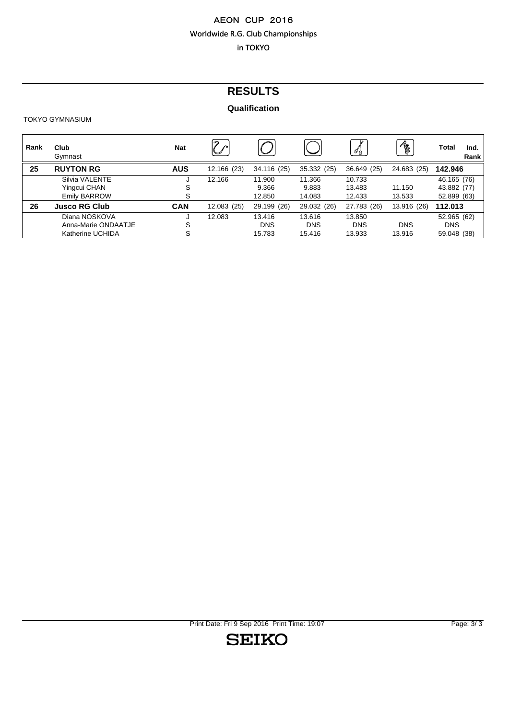# **RESULTS**

# **Qualification**

#### TOKYO GYMNASIUM

| Rank | Club<br>Gymnast      | <b>Nat</b> | $\curvearrowright$         |             |             | 4           | R           | Total<br>Ind.<br>Rank |  |
|------|----------------------|------------|----------------------------|-------------|-------------|-------------|-------------|-----------------------|--|
| 25   | <b>RUYTON RG</b>     | <b>AUS</b> | 12.166 (23)<br>34.116 (25) |             | 35.332 (25) | 36.649 (25) | 24.683 (25) | 142.946               |  |
|      | Silvia VALENTE       | J          | 12.166                     | 11.900      | 11.366      | 10.733      |             | 46.165 (76)           |  |
|      | Yingcui CHAN         | S          |                            | 9.366       | 9.883       | 13.483      | 11.150      | 43.882 (77)           |  |
|      | <b>Emily BARROW</b>  | S          |                            | 12.850      | 14.083      | 12.433      | 13.533      | 52.899 (63)           |  |
| 26   | <b>Jusco RG Club</b> | <b>CAN</b> | 12.083 (25)                | 29.199 (26) | 29.032 (26) | 27.783 (26) | 13.916 (26) | 112.013               |  |
|      | Diana NOSKOVA        | J          | 12.083                     | 13.416      | 13.616      | 13.850      |             | 52.965 (62)           |  |
|      | Anna-Marie ONDAATJE  | S          |                            | <b>DNS</b>  | <b>DNS</b>  | <b>DNS</b>  | <b>DNS</b>  | <b>DNS</b>            |  |
|      | Katherine UCHIDA     | S          |                            | 15.783      | 15.416      | 13.933      | 13.916      | 59.048 (38)           |  |

Print Date: Fri 9 Sep 2016 Print Time: 19:07 Print Page: 3/3

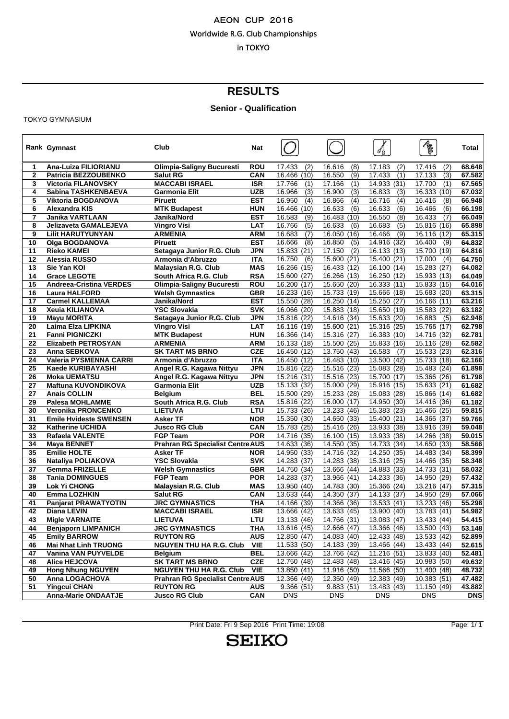# **RESULTS**

# **Senior - Qualification**

TOKYO GYMNASIUM

|                | Rank Gymnast                                     | Club                                                     | <b>Nat</b>               |                                 |                                  | ⋬                              | $\bar{\mathcal{E}}$              | Total            |
|----------------|--------------------------------------------------|----------------------------------------------------------|--------------------------|---------------------------------|----------------------------------|--------------------------------|----------------------------------|------------------|
| 1              | Ana-Luiza FILIORIANU                             | <b>Olimpia-Saligny Bucuresti</b>                         | ROU                      | 17.433<br>(2)                   | 16.616<br>(8)                    | 17.183<br>(2)                  | 17.416<br>(2)                    | 68.648           |
| $\overline{2}$ | Patricia BEZZOUBENKO                             | <b>Salut RG</b>                                          | CAN                      | 16.466<br>(10)                  | 16.550<br>(9)                    | 17.433<br>(1)                  | 17.133<br>(3)                    | 67.582           |
| 3              | <b>Victoria FILANOVSKY</b>                       | <b>MACCABI ISRAEL</b>                                    | <b>ISR</b>               | 17.766<br>(1)                   | 17.166<br>(1)                    | 14.933 (31)                    | 17.700<br>(1)                    | 67.565           |
| 4              | Sabina TASHKENBAEVA                              | Garmonia Elit                                            | <b>UZB</b>               | (3)<br>16.966                   | 16.900<br>(3)                    | 16.833<br>(3)                  | 16.333<br>(10)                   | 67.032           |
| 5              | Viktoria BOGDANOVA                               | <b>Piruett</b>                                           | <b>EST</b>               | 16.950<br>(4)                   | 16.866<br>(4)                    | 16.716<br>(4)                  | 16.416<br>(8)                    | 66.948           |
| 6<br>7         | Alexandra KIS<br>Janika VARTLAAN                 | <b>MTK Budapest</b><br>Janika/Nord                       | <b>HUN</b><br><b>EST</b> | 16.466<br>(10)<br>16.583<br>(9) | 16.633<br>(6)<br>16.483<br>(10)  | 16.633<br>(6)<br>16.550<br>(8) | 16.466<br>(6)<br>16.433<br>(7)   | 66.198<br>66.049 |
| 8              | <b>Jelizaveta GAMALEJEVA</b>                     | <b>Vingro Visi</b>                                       | <b>LAT</b>               | 16.766<br>(5)                   | 16.633<br>(6)                    | (5)<br>16.683                  | 15.816<br>(16)                   | 65.898           |
| 9              | <b>Lilit HARUTYUNYAN</b>                         | <b>ARMENIA</b>                                           | <b>ARM</b>               | 16.683<br>(7)                   | 16.050<br>(16)                   | 16.466<br>(9)                  | 16.116<br>(12)                   | 65.315           |
| 10             | <b>Olga BOGDANOVA</b>                            | <b>Piruett</b>                                           | <b>EST</b>               | 16.666<br>(8)                   | 16.850<br>(5)                    | 14.916 $(32)$                  | 16.400<br>(9)                    | 64.832           |
| 11             | <b>Rieko KAMEI</b>                               | Setagaya Junior R.G. Club                                | <b>JPN</b>               | 15.833 (21)                     | 17.150<br>(2)                    | 16.133 (13)                    | 15.700<br>(19)                   | 64.816           |
| 12             | Alessia RUSSO                                    | Armonia d'Abruzzo                                        | <b>ITA</b>               | 16.750<br>(6)                   | 15.600<br>(21)                   | 15.400 (21)                    | 17.000<br>(4)                    | 64.750           |
| 13             | Sie Yan KOI                                      | <b>Malaysian R.G. Club</b>                               | <b>MAS</b>               | 16.266 (15)                     | (12)<br>16.433                   | 16.100 (14)                    | 15.283<br>(27)                   | 64.082           |
| 14             | <b>Grace LEGOTE</b>                              | South Africa R.G. Club                                   | <b>RSA</b>               | 15.600 (27)                     | 16.266<br>(13)                   | 16.250<br>(12)                 | 15.933<br>(13)                   | 64.049           |
| 15             | <b>Andreea-Cristina VERDES</b>                   | Olimpia-Saligny Bucuresti                                | <b>ROU</b>               | 16.200 (17)                     | 15.650 (20)                      | 16.333 (11)                    | 15.833 (15)                      | 64.016           |
| 16             | <b>Laura HALFORD</b>                             | <b>Welsh Gymnastics</b>                                  | <b>GBR</b>               | 16.233 (16)                     | 15.733<br>(19)                   | 15.666 (18)                    | 15.683<br>(20)                   | 63.315           |
| 17             | <b>Carmel KALLEMAA</b>                           | Janika/Nord                                              | <b>EST</b>               | 15.550 (28)                     | 16.250<br>(14)                   | 15.250<br>(27)                 | 16.166<br>(11)                   | 63.216           |
| 18             | <b>Xeuia KILIANOVA</b>                           | <b>YSC Slovakia</b>                                      | <b>SVK</b>               | 16.066 (20)                     | 15.883<br>(18)                   | 15.650 (19)                    | 15.583<br>(22)                   | 63.182           |
| 19             | <b>Mayu MORITA</b>                               | Setagaya Junior R.G. Club                                | <b>JPN</b>               | 15.816 (22)                     | 14.616<br>(34)                   | 15.633 (20)                    | 16.883<br>(5)                    | 62.948           |
| 20             | Laima Elza LIPKINA                               | <b>Vingro Visi</b>                                       | <b>LAT</b>               | 16.116 (19)                     | 15.600 (21)                      | 15.316 (25)                    | 15.766<br>(17)                   | 62.798           |
| 21             | <b>Fanni PIGNICZKI</b>                           | <b>MTK Budapest</b>                                      | <b>HUN</b>               | 16.366 (14)                     | 15.316<br>(27)                   | 16.383 (10)                    | 14.716<br>(32)                   | 62.781           |
| 22             | <b>Elizabeth PETROSYAN</b>                       | <b>ARMENIA</b>                                           | <b>ARM</b>               | 16.133 (18)                     | 15.500<br>(25)                   | 15.833 (16)                    | 15.116<br>(28)                   | 62.582           |
| 23             | Anna SEBKOVA                                     | <b>SK TART MS BRNO</b>                                   | <b>CZE</b>               | 16.450 (12)                     | 13.750<br>(43)                   | 16.583<br>(7)                  | 15.533 (23)                      | 62.316           |
| 24             | <b>Valeria PYSMENNA CARRI</b>                    | Armonia d'Abruzzo                                        | <b>ITA</b>               | 16.450 (12)                     | 16.483<br>(10)                   | 13.500<br>(42)                 | 15.733<br>(18)                   | 62.166           |
| 25             | Kaede KURIBAYASHI                                | Angel R.G. Kagawa Nittyu                                 | <b>JPN</b>               | 15.816 (22)                     | 15.516 (23)                      | 15.083 (28)                    | 15.483<br>(24)                   | 61.898           |
| 26<br>27       | <b>Moka UEMATSU</b>                              | Angel R.G. Kagawa Nittyu                                 | JPN<br><b>UZB</b>        | 15.216 (31)                     | 15.516<br>(23)                   | 15.700 (17)                    | 15.366<br>(26)                   | 61.798<br>61.682 |
| 27             | Maftuna KUVONDIKOVA<br><b>Anais COLLIN</b>       | <b>Garmonia Elit</b>                                     | <b>BEL</b>               | 15.133 (32)<br>15.500 (29)      | (29)<br>15.000<br>15.233<br>(28) | 15.916 (15)<br>15.083<br>(28)  | 15.633<br>(21)<br>15.866<br>(14) | 61.682           |
| 29             | <b>Palesa MOHLAMME</b>                           | <b>Belgium</b><br>South Africa R.G. Club                 | <b>RSA</b>               | 15.816 (22)                     | 16.000<br>(17)                   | 14.950 (30)                    | 14.416 (36)                      | 61.182           |
| 30             | <b>Veronika PRONCENKO</b>                        | <b>LIETUVA</b>                                           | LTU                      | 15.733 (26)                     | 13.233<br>(46)                   | 15.383 (23)                    | 15.466<br>(25)                   | 59.815           |
| 31             | <b>Emile Hvideste SWENSEN</b>                    | <b>Asker TF</b>                                          | <b>NOR</b>               | 15.350 (30)                     | 14.650 (33)                      | 15.400 (21)                    | 14.366<br>(37)                   | 59.766           |
| 32             | <b>Katherine UCHIDA</b>                          | <b>Jusco RG Club</b>                                     | CAN                      | 15.783 (25)                     | 15.416<br>(26)                   | 13.933 (38)                    | 13.916<br>(39)                   | 59.048           |
| 33             | Rafaela VALENTE                                  | <b>FGP Team</b>                                          | <b>POR</b>               | 14.716 (35)                     | 16.100<br>(15)                   | 13.933 (38)                    | 14.266<br>(38)                   | 59.015           |
| 34             | Maya BENNET                                      | <b>Prahran RG Specialist Centre AUS</b>                  |                          | 14.633 (36)                     | 14.550<br>(35)                   | 14.733 (34)                    | 14.650<br>(33)                   | 58.566           |
| 35             | <b>Emilie HOLTE</b>                              | <b>Asker TF</b>                                          | <b>NOR</b>               | 14.950 (33)                     | 14.716<br>(32)                   | 14.250<br>(35)                 | 14.483<br>(34)                   | 58.399           |
| 36             | Nataliya POLIAKOVA                               | <b>YSC Slovakia</b>                                      | <b>SVK</b>               | 14.283 (37)                     | 14.283<br>(38)                   | 15.316 (25)                    | 14.466<br>(35)                   | 58.348           |
| 37             | <b>Gemma FRIZELLE</b>                            | <b>Welsh Gymnastics</b>                                  | <b>GBR</b>               | 14.750 (34)                     | 13.666<br>(44)                   | 14.883 (33)                    | 14.733<br>(31)                   | 58.032           |
| 38             | <b>Tania DOMINGUES</b>                           | <b>FGP Team</b>                                          | <b>POR</b>               | 14.283 (37)                     | 13.966<br>(41)                   | 14.233 (36)                    | 14.950<br>(29)                   | 57.432           |
| 39             | <b>Lok Yi CHONG</b>                              | Malaysian R.G. Club                                      | <b>MAS</b>               | 13.950 (40)                     | 14.783<br>(30)                   | 15.366 (24)                    | 13.216<br>(47)                   | 57.315           |
| 40             | Emma LOZHKIN                                     | <b>Salut RG</b>                                          | <b>CAN</b>               | 13.633 (44)                     | 14.350<br>(37)                   | 14.133 (37)                    | 14.950<br>(29)                   | 57.066           |
| 41             | <b>Panjarat PRAWATYOTIN</b>                      | <b>JRC GYMNASTICS</b>                                    | <b>THA</b>               | 14.166 (39)                     | 14.366<br>(36)                   | 13.533<br>(41)                 | 13.233<br>(46)                   | 55.298           |
| 42             | Diana LEVIN                                      | <b>MACCABI ISRAEL</b>                                    | <b>ISR</b>               | 13.666<br>(42)                  | 13.633<br>(45)                   | 13.900<br>(40)                 | 13.783<br>(41)                   | 54.982           |
| 43             | Migle VARNAITE                                   | <b>LIETUVA</b>                                           | LTU                      | 13.133 (46)                     | 14.766 (31)                      | 13.083 (47)                    | 13.433 (44)                      | 54.415           |
| 44             | <b>Benjaporn LIMPANICH</b>                       | <b>JRC GYMNASTICS</b>                                    | <b>THA</b>               | 13.616 (45)                     | 12.666 (47)                      | 13.366 (46)                    | 13.500 (43)                      | 53.148           |
| 45             | <b>Emily BARROW</b>                              | <b>RUYTON RG</b>                                         | <b>AUS</b>               | 12.850 (47)                     | 14.083 (40)                      | 12.433 (48)                    | 13.533 (42)                      | 52.899           |
| 46             | <b>Mai Nhat Linh TRUONG</b>                      | <b>NGUYEN THU HA R.G. Club</b>                           | <b>VIE</b><br><b>BEL</b> | 11.533 (50)                     | 14.183 (39)                      | 13.466 (44)                    | 13.433 (44)                      | 52.615           |
| 47             | Vanina VAN PUYVELDE                              | <b>Belgium</b>                                           | <b>CZE</b>               | 13.666 (42)                     | 13.766 (42)                      | 11.216 (51)                    | 13.833 (40)                      | 52.481           |
| 48<br>49       | <b>Alice HEJCOVA</b><br><b>Hong Nhung NGUYEN</b> | <b>SK TART MS BRNO</b><br><b>NGUYEN THU HA R.G. Club</b> | <b>VIE</b>               | 12.750 (48)<br>13.850 (41)      | 12.483 (48)<br>11.916 (50)       | 13.416 (45)<br>11.566 (50)     | 10.983 (50)                      | 49.632<br>48.732 |
| 50             | <b>Anna LOGACHOVA</b>                            | <b>Prahran RG Specialist Centre AUS</b>                  |                          | 12.366 (49)                     | 12.350 (49)                      | 12.383 (49)                    | 11.400 (48)<br>10.383 (51)       | 47.482           |
| 51             | <b>Yingcui CHAN</b>                              | <b>RUYTON RG</b>                                         | <b>AUS</b>               | 9.366(51)                       | 9.883(51)                        | 13.483 (43)                    | 11.150 (49)                      | 43.882           |
|                | <b>Anna-Marie ONDAATJE</b>                       | <b>Jusco RG Club</b>                                     | CAN                      | <b>DNS</b>                      | <b>DNS</b>                       | <b>DNS</b>                     | <b>DNS</b>                       | <b>DNS</b>       |
|                |                                                  |                                                          |                          |                                 |                                  |                                |                                  |                  |

Print Date: Fri 9 Sep 2016 Print Time: 19:08 Print Page: 1/ 1

**SEIKO**